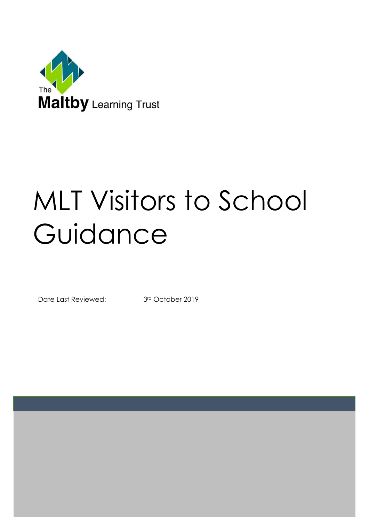

# MLT Visitors to School Guidance

Date Last Reviewed: 3rd October 2019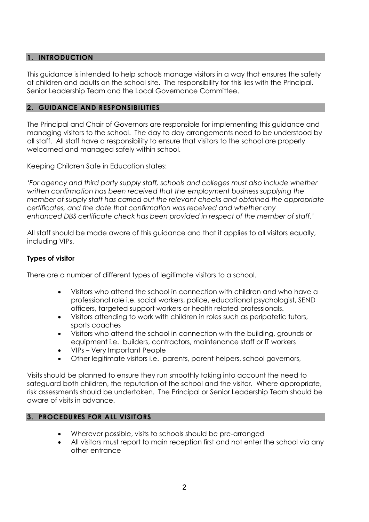## **1. INTRODUCTION**

This guidance is intended to help schools manage visitors in a way that ensures the safety of children and adults on the school site. The responsibility for this lies with the Principal, Senior Leadership Team and the Local Governance Committee.

### **2. GUIDANCE AND RESPONSIBILITIES**

The Principal and Chair of Governors are responsible for implementing this guidance and managing visitors to the school. The day to day arrangements need to be understood by all staff. All staff have a responsibility to ensure that visitors to the school are properly welcomed and managed safely within school.

Keeping Children Safe in Education states:

*'For agency and third party supply staff, schools and colleges must also include whether written confirmation has been received that the employment business supplying the member of supply staff has carried out the relevant checks and obtained the appropriate certificates, and the date that confirmation was received and whether any enhanced DBS certificate check has been provided in respect of the member of staff.'*

All staff should be made aware of this guidance and that it applies to all visitors equally, including VIPs.

## **Types of visitor**

There are a number of different types of legitimate visitors to a school.

- Visitors who attend the school in connection with children and who have a professional role i.e. social workers, police, educational psychologist, SEND officers, targeted support workers or health related professionals.
- Visitors attending to work with children in roles such as peripatetic tutors, sports coaches
- Visitors who attend the school in connection with the building, grounds or equipment i.e. builders, contractors, maintenance staff or IT workers
- VIPs Very Important People
- Other legitimate visitors i.e. parents, parent helpers, school governors,

Visits should be planned to ensure they run smoothly taking into account the need to safeguard both children, the reputation of the school and the visitor. Where appropriate, risk assessments should be undertaken. The Principal or Senior Leadership Team should be aware of visits in advance.

# **3. PROCEDURES FOR ALL VISITORS**

- Wherever possible, visits to schools should be pre-arranged
- All visitors must report to main reception first and not enter the school via any other entrance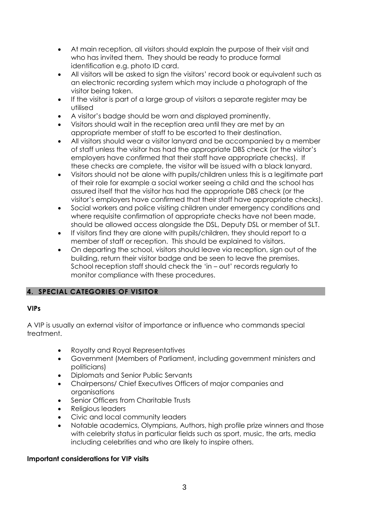- At main reception, all visitors should explain the purpose of their visit and who has invited them. They should be ready to produce formal identification e.g. photo ID card.
- All visitors will be asked to sign the visitors' record book or equivalent such as an electronic recording system which may include a photograph of the visitor being taken.
- If the visitor is part of a large group of visitors a separate register may be utilised
- A visitor's badge should be worn and displayed prominently.
- Visitors should wait in the reception area until they are met by an appropriate member of staff to be escorted to their destination.
- All visitors should wear a visitor lanyard and be accompanied by a member of staff unless the visitor has had the appropriate DBS check (or the visitor's employers have confirmed that their staff have appropriate checks). If these checks are complete, the visitor will be issued with a black lanyard.
- Visitors should not be alone with pupils/children unless this is a legitimate part of their role for example a social worker seeing a child and the school has assured itself that the visitor has had the appropriate DBS check (or the visitor's employers have confirmed that their staff have appropriate checks).
- Social workers and police visiting children under emergency conditions and where requisite confirmation of appropriate checks have not been made, should be allowed access alongside the DSL, Deputy DSL or member of SLT.
- If visitors find they are alone with pupils/children, they should report to a member of staff or reception. This should be explained to visitors.
- On departing the school, visitors should leave via reception, sign out of the building, return their visitor badge and be seen to leave the premises. School reception staff should check the 'in – out' records regularly to monitor compliance with these procedures.

# **4. SPECIAL CATEGORIES OF VISITOR**

## **VIPs**

A VIP is usually an external visitor of importance or influence who commands special treatment.

- Royalty and Royal Representatives
- Government (Members of Parliament, including government ministers and politicians)
- Diplomats and Senior Public Servants
- Chairpersons/ Chief Executives Officers of major companies and organisations
- Senior Officers from Charitable Trusts
- Religious leaders
- Civic and local community leaders
- Notable academics, Olympians, Authors, high profile prize winners and those with celebrity status in particular fields such as sport, music, the arts, media including celebrities and who are likely to inspire others.

## **Important considerations for VIP visits**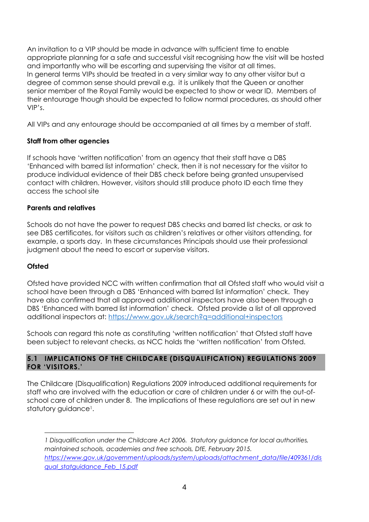An invitation to a VIP should be made in advance with sufficient time to enable appropriate planning for a safe and successful visit recognising how the visit will be hosted and importantly who will be escorting and supervising the visitor at all times. In general terms VIPs should be treated in a very similar way to any other visitor but a degree of common sense should prevail e.g. it is unlikely that the Queen or another senior member of the Royal Family would be expected to show or wear ID. Members of their entourage though should be expected to follow normal procedures, as should other VIP's.

All VIPs and any entourage should be accompanied at all times by a member of staff.

# **Staff from other agencies**

If schools have 'written notification' from an agency that their staff have a DBS 'Enhanced with barred list information' check, then it is not necessary for the visitor to produce individual evidence of their DBS check before being granted unsupervised contact with children. However, visitors should still produce photo ID each time they access the school site

# **Parents and relatives**

Schools do not have the power to request DBS checks and barred list checks, or ask to see DBS certificates, for visitors such as children's relatives or other visitors attending, for example, a sports day. In these circumstances Principals should use their professional judgment about the need to escort or supervise visitors.

# **Ofsted**

Ofsted have provided NCC with written confirmation that all Ofsted staff who would visit a school have been through a DBS 'Enhanced with barred list information' check. They have also confirmed that all approved additional inspectors have also been through a DBS 'Enhanced with barred list information' check. Ofsted provide a list of all approved additional inspectors at:<https://www.gov.uk/search?q=additional+inspectors>

Schools can regard this note as constituting 'written notification' that Ofsted staff have been subject to relevant checks, as NCC holds the 'written notification' from Ofsted.

# **5.1 IMPLICATIONS OF THE CHILDCARE (DISQUALIFICATION) REGULATIONS 2009 FOR 'VISITORS.'**

The Childcare (Disqualification) Regulations 2009 introduced additional requirements for staff who are involved with the education or care of children under 6 or with the out-ofschool care of children under 8. The implications of these regulations are set out in new statutory guidance<sup>1</sup>.

<sup>1</sup> *1 Disqualification under the Childcare Act 2006. Statutory guidance for local authorities, maintained schools, academies and free schools, DfE, February 2015. [https://www.gov.uk/government/uploads/system/uploads/attachment\\_data/file/409361/dis](https://fwa.nottscc.gov.uk/owa/redir.aspx?C=n-O3AlcaeU2OqJUw4dxBcnrNaGBHMNIIx_cKghZo-OG9zEFGHHpnWRIlvnlI1S-i4Z7s82paE0s.&URL=https%3a%2f%2fwww.gov.uk%2fgovernment%2fuploads%2fsystem%2fuploads%2fattachment_data%2ffile%2f409361%2fdisqual_stat-guidance_Feb_15.pdf) [qual\\_statguidance\\_Feb\\_15.pdf](https://fwa.nottscc.gov.uk/owa/redir.aspx?C=n-O3AlcaeU2OqJUw4dxBcnrNaGBHMNIIx_cKghZo-OG9zEFGHHpnWRIlvnlI1S-i4Z7s82paE0s.&URL=https%3a%2f%2fwww.gov.uk%2fgovernment%2fuploads%2fsystem%2fuploads%2fattachment_data%2ffile%2f409361%2fdisqual_stat-guidance_Feb_15.pdf)*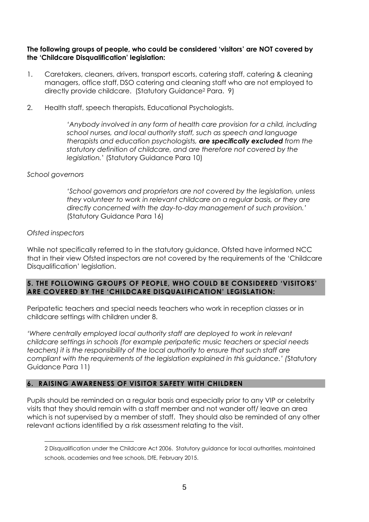### **The following groups of people, who could be considered 'visitors' are NOT covered by the 'Childcare Disqualification' legislation:**

- 1. Caretakers, cleaners, drivers, transport escorts, catering staff, catering & cleaning managers, office staff, DSO catering and cleaning staff who are not employed to directly provide childcare. (Statutory Guidance<sup>2</sup> Para. 9)
- 2. Health staff, speech therapists, Educational Psychologists.

*'Anybody involved in any form of health care provision for a child, including school nurses, and local authority staff, such as speech and language therapists and education psychologists, are specifically excluded from the statutory definition of childcare, and are therefore not covered by the legislation.*' (Statutory Guidance Para 10)

### *School governors*

*'School governors and proprietors are not covered by the legislation, unless they volunteer to work in relevant childcare on a regular basis, or they are directly concerned with the day-to-day management of such provision.'*  (Statutory Guidance Para 16)

### *Ofsted inspectors*

1

While not specifically referred to in the statutory guidance, Ofsted have informed NCC that in their view Ofsted inspectors are not covered by the requirements of the 'Childcare Disqualification' legislation.

### **5. THE FOLLOWING GROUPS OF PEOPLE, WHO COULD BE CONSIDERED 'VISITORS' ARE COVERED BY THE 'CHILDCARE DISQUALIFICATION' LEGISLATION:**

Peripatetic teachers and special needs teachers who work in reception classes or in childcare settings with children under 8.

*'Where centrally employed local authority staff are deployed to work in relevant childcare settings in schools (for example peripatetic music teachers or special needs teachers) it is the responsibility of the local authority to ensure that such staff are compliant with the requirements of the legislation explained in this guidance.' (*Statutory Guidance Para 11)

## **6. RAISING AWARENESS OF VISITOR SAFETY WITH CHILDREN**

Pupils should be reminded on a regular basis and especially prior to any VIP or celebrity visits that they should remain with a staff member and not wander off/ leave an area which is not supervised by a member of staff. They should also be reminded of any other relevant actions identified by a risk assessment relating to the visit.

<sup>2</sup> Disqualification under the Childcare Act 2006. Statutory guidance for local authorities, maintained schools, academies and free schools, DfE, February 2015.